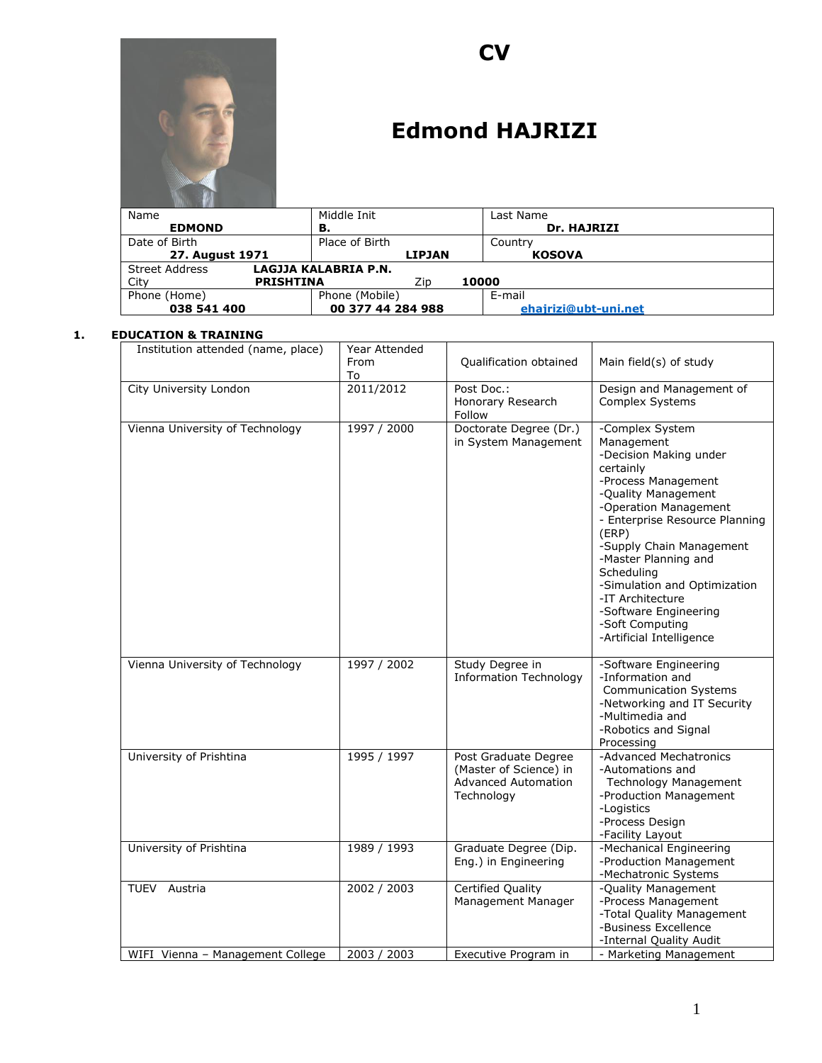

# **CV**

# **Edmond HAJRIZI**

| Name            |                  | Middle Init          |               |       | Last Name            |
|-----------------|------------------|----------------------|---------------|-------|----------------------|
| <b>EDMOND</b>   |                  | в.                   |               |       | Dr. HAJRIZI          |
| Date of Birth   |                  | Place of Birth       |               |       | Country              |
| 27. August 1971 |                  |                      | <b>LIPJAN</b> |       | <b>KOSOVA</b>        |
| Street Address  |                  | LAGJJA KALABRIA P.N. |               |       |                      |
| City            | <b>PRISHTINA</b> |                      | Zip           | 10000 |                      |
| Phone (Home)    |                  | Phone (Mobile)       |               |       | E-mail               |
| 038 541 400     |                  | 00 377 44 284 988    |               |       | ehajrizi@ubt-uni.net |

#### **1. EDUCATION & TRAINING**

| Institution attended (name, place) | Year Attended<br>From<br>To | Qualification obtained                                                                     | Main field(s) of study                                                                                                                                                                                                                                                                                                                                                               |
|------------------------------------|-----------------------------|--------------------------------------------------------------------------------------------|--------------------------------------------------------------------------------------------------------------------------------------------------------------------------------------------------------------------------------------------------------------------------------------------------------------------------------------------------------------------------------------|
| City University London             | 2011/2012                   | Post Doc.:<br>Honorary Research<br>Follow                                                  | Design and Management of<br>Complex Systems                                                                                                                                                                                                                                                                                                                                          |
| Vienna University of Technology    | 1997 / 2000                 | Doctorate Degree (Dr.)<br>in System Management                                             | -Complex System<br>Management<br>-Decision Making under<br>certainly<br>-Process Management<br>-Quality Management<br>-Operation Management<br>- Enterprise Resource Planning<br>(ERP)<br>-Supply Chain Management<br>-Master Planning and<br>Scheduling<br>-Simulation and Optimization<br>-IT Architecture<br>-Software Engineering<br>-Soft Computing<br>-Artificial Intelligence |
| Vienna University of Technology    | 1997 / 2002                 | Study Degree in<br><b>Information Technology</b>                                           | -Software Engineering<br>-Information and<br><b>Communication Systems</b><br>-Networking and IT Security<br>-Multimedia and<br>-Robotics and Signal<br>Processing                                                                                                                                                                                                                    |
| University of Prishtina            | 1995 / 1997                 | Post Graduate Degree<br>(Master of Science) in<br><b>Advanced Automation</b><br>Technology | -Advanced Mechatronics<br>-Automations and<br><b>Technology Management</b><br>-Production Management<br>-Logistics<br>-Process Design<br>-Facility Layout                                                                                                                                                                                                                            |
| University of Prishtina            | 1989 / 1993                 | Graduate Degree (Dip.<br>Eng.) in Engineering                                              | -Mechanical Engineering<br>-Production Management<br>-Mechatronic Systems                                                                                                                                                                                                                                                                                                            |
| <b>TUEV</b> Austria                | 2002 / 2003                 | Certified Quality<br>Management Manager                                                    | -Quality Management<br>-Process Management<br>-Total Quality Management<br>-Business Excellence<br>-Internal Quality Audit                                                                                                                                                                                                                                                           |
| WIFI Vienna - Management College   | 2003 / 2003                 | Executive Program in                                                                       | - Marketing Management                                                                                                                                                                                                                                                                                                                                                               |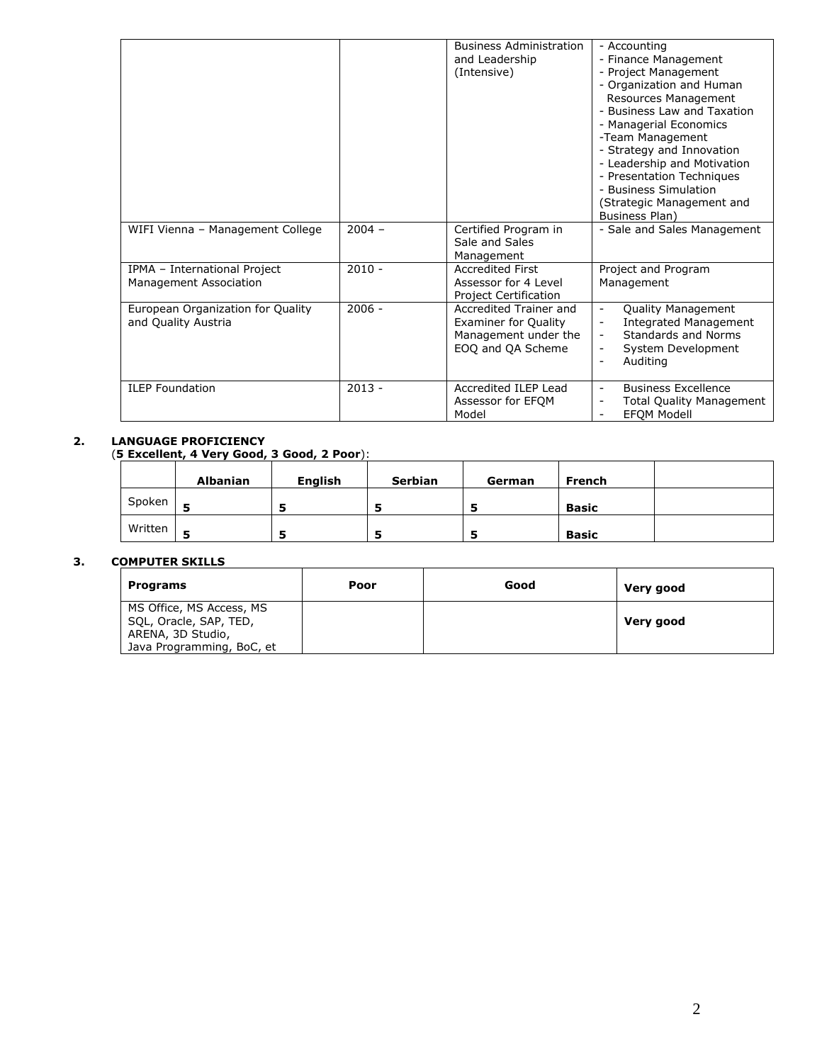|                                                          |          | <b>Business Administration</b><br>and Leadership<br>(Intensive)                                    | - Accounting<br>- Finance Management<br>- Project Management<br>- Organization and Human<br>Resources Management<br>- Business Law and Taxation<br>- Managerial Economics<br>-Team Management<br>- Strategy and Innovation<br>- Leadership and Motivation<br>- Presentation Techniques<br>- Business Simulation<br>(Strategic Management and<br>Business Plan) |
|----------------------------------------------------------|----------|----------------------------------------------------------------------------------------------------|----------------------------------------------------------------------------------------------------------------------------------------------------------------------------------------------------------------------------------------------------------------------------------------------------------------------------------------------------------------|
| WIFI Vienna - Management College                         | $2004 -$ | Certified Program in<br>Sale and Sales<br>Management                                               | - Sale and Sales Management                                                                                                                                                                                                                                                                                                                                    |
| IPMA - International Project<br>Management Association   | $2010 -$ | <b>Accredited First</b><br>Assessor for 4 Level<br><b>Project Certification</b>                    | Project and Program<br>Management                                                                                                                                                                                                                                                                                                                              |
| European Organization for Quality<br>and Quality Austria | $2006 -$ | Accredited Trainer and<br><b>Examiner for Quality</b><br>Management under the<br>EOQ and QA Scheme | Quality Management<br><b>Integrated Management</b><br>Standards and Norms<br>System Development<br>Auditing                                                                                                                                                                                                                                                    |
| <b>ILEP Foundation</b>                                   | $2013 -$ | Accredited ILEP Lead<br>Assessor for EFQM<br>Model                                                 | <b>Business Excellence</b><br><b>Total Quality Management</b><br><b>EFOM Modell</b>                                                                                                                                                                                                                                                                            |

#### **2. LANGUAGE PROFICIENCY**

(**5 Excellent, 4 Very Good, 3 Good, 2 Poor**):

|         | <b>Albanian</b> | <b>English</b> | Serbian | German | French       |  |
|---------|-----------------|----------------|---------|--------|--------------|--|
| Spoken  |                 |                |         |        | <b>Basic</b> |  |
| Written |                 |                |         |        | <b>Basic</b> |  |

## **3. COMPUTER SKILLS**

| <b>Programs</b>           | Poor | Good | Very good |
|---------------------------|------|------|-----------|
| MS Office, MS Access, MS  |      |      |           |
| SQL, Oracle, SAP, TED,    |      |      | Very good |
| ARENA, 3D Studio,         |      |      |           |
| Java Programming, BoC, et |      |      |           |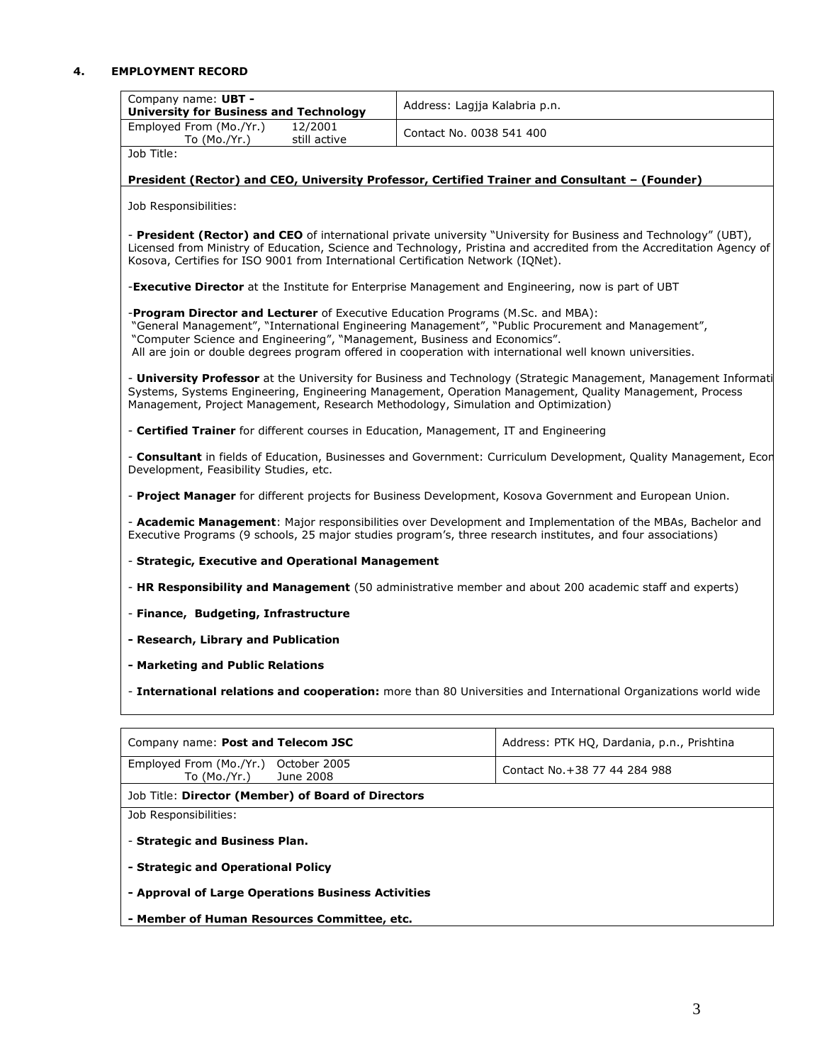### **4. EMPLOYMENT RECORD**

| Company name: UBT -<br><b>University for Business and Technology</b>                                                                                         | Address: Lagjja Kalabria p.n.                                                                                                                                                                                                                                                                                     |
|--------------------------------------------------------------------------------------------------------------------------------------------------------------|-------------------------------------------------------------------------------------------------------------------------------------------------------------------------------------------------------------------------------------------------------------------------------------------------------------------|
| Employed From (Mo./Yr.)<br>12/2001<br>still active<br>To $(Mo./Yr.)$                                                                                         | Contact No. 0038 541 400                                                                                                                                                                                                                                                                                          |
| Job Title:                                                                                                                                                   |                                                                                                                                                                                                                                                                                                                   |
|                                                                                                                                                              | President (Rector) and CEO, University Professor, Certified Trainer and Consultant - (Founder)                                                                                                                                                                                                                    |
| Job Responsibilities:                                                                                                                                        |                                                                                                                                                                                                                                                                                                                   |
| Kosova, Certifies for ISO 9001 from International Certification Network (IQNet).                                                                             | - President (Rector) and CEO of international private university "University for Business and Technology" (UBT),<br>Licensed from Ministry of Education, Science and Technology, Pristina and accredited from the Accreditation Agency of                                                                         |
|                                                                                                                                                              | <b>-Executive Director</b> at the Institute for Enterprise Management and Engineering, now is part of UBT                                                                                                                                                                                                         |
| -Program Director and Lecturer of Executive Education Programs (M.Sc. and MBA):<br>"Computer Science and Engineering", "Management, Business and Economics". | "General Management", "International Engineering Management", "Public Procurement and Management",<br>All are join or double degrees program offered in cooperation with international well known universities.                                                                                                   |
|                                                                                                                                                              | - University Professor at the University for Business and Technology (Strategic Management, Management Informati<br>Systems, Systems Engineering, Engineering Management, Operation Management, Quality Management, Process<br>Management, Project Management, Research Methodology, Simulation and Optimization) |
|                                                                                                                                                              | - Certified Trainer for different courses in Education, Management, IT and Engineering                                                                                                                                                                                                                            |
| Development, Feasibility Studies, etc.                                                                                                                       | - Consultant in fields of Education, Businesses and Government: Curriculum Development, Quality Management, Ecor                                                                                                                                                                                                  |
|                                                                                                                                                              | - Project Manager for different projects for Business Development, Kosova Government and European Union.                                                                                                                                                                                                          |
|                                                                                                                                                              | - Academic Management: Major responsibilities over Development and Implementation of the MBAs, Bachelor and<br>Executive Programs (9 schools, 25 major studies program's, three research institutes, and four associations)                                                                                       |
| - Strategic, Executive and Operational Management                                                                                                            |                                                                                                                                                                                                                                                                                                                   |
|                                                                                                                                                              | - HR Responsibility and Management (50 administrative member and about 200 academic staff and experts)                                                                                                                                                                                                            |
| - Finance, Budgeting, Infrastructure                                                                                                                         |                                                                                                                                                                                                                                                                                                                   |
| - Research, Library and Publication                                                                                                                          |                                                                                                                                                                                                                                                                                                                   |
| - Marketing and Public Relations                                                                                                                             |                                                                                                                                                                                                                                                                                                                   |
|                                                                                                                                                              | - International relations and cooperation: more than 80 Universities and International Organizations world wide                                                                                                                                                                                                   |
| Company name: Post and Telecom JSC                                                                                                                           | Address: PTK HQ, Dardania, p.n., Prishtina                                                                                                                                                                                                                                                                        |
| Employed From (Mo./Yr.)<br>October 2005<br>To (Mo./Yr.)<br>June 2008                                                                                         | Contact No. + 38 77 44 284 988                                                                                                                                                                                                                                                                                    |
| Job Title: Director (Member) of Board of Directors                                                                                                           |                                                                                                                                                                                                                                                                                                                   |
| Job Responsibilities:                                                                                                                                        |                                                                                                                                                                                                                                                                                                                   |
| - Strategic and Business Plan.                                                                                                                               |                                                                                                                                                                                                                                                                                                                   |
| - Strategic and Operational Policy                                                                                                                           |                                                                                                                                                                                                                                                                                                                   |
| - Approval of Large Operations Business Activities                                                                                                           |                                                                                                                                                                                                                                                                                                                   |
|                                                                                                                                                              |                                                                                                                                                                                                                                                                                                                   |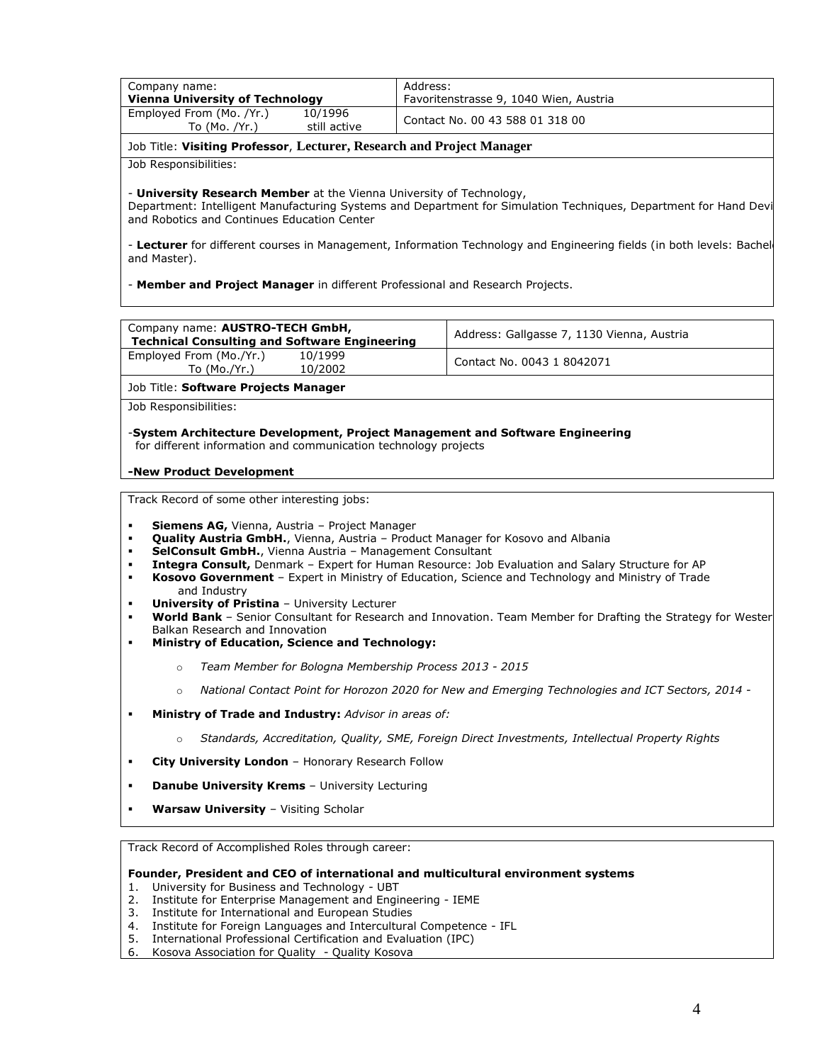| Company name:<br><b>Vienna University of Technology</b>                                                                                                                                                                   |                         | Address:<br>Favoritenstrasse 9, 1040 Wien, Austria                                                                                                                                                                                                                                                                                                                                                       |
|---------------------------------------------------------------------------------------------------------------------------------------------------------------------------------------------------------------------------|-------------------------|----------------------------------------------------------------------------------------------------------------------------------------------------------------------------------------------------------------------------------------------------------------------------------------------------------------------------------------------------------------------------------------------------------|
| Employed From (Mo. /Yr.)<br>To $(Mo. /Yr.)$                                                                                                                                                                               | 10/1996<br>still active | Contact No. 00 43 588 01 318 00                                                                                                                                                                                                                                                                                                                                                                          |
| Job Title: Visiting Professor, Lecturer, Research and Project Manager                                                                                                                                                     |                         |                                                                                                                                                                                                                                                                                                                                                                                                          |
| Job Responsibilities:                                                                                                                                                                                                     |                         |                                                                                                                                                                                                                                                                                                                                                                                                          |
| - <b>University Research Member</b> at the Vienna University of Technology,<br>and Robotics and Continues Education Center                                                                                                |                         | Department: Intelligent Manufacturing Systems and Department for Simulation Techniques, Department for Hand Devi<br>- Lecturer for different courses in Management, Information Technology and Engineering fields (in both levels: Bachel                                                                                                                                                                |
| and Master).                                                                                                                                                                                                              |                         |                                                                                                                                                                                                                                                                                                                                                                                                          |
| - Member and Project Manager in different Professional and Research Projects.                                                                                                                                             |                         |                                                                                                                                                                                                                                                                                                                                                                                                          |
|                                                                                                                                                                                                                           |                         |                                                                                                                                                                                                                                                                                                                                                                                                          |
| Company name: AUSTRO-TECH GmbH,<br><b>Technical Consulting and Software Engineering</b>                                                                                                                                   |                         | Address: Gallgasse 7, 1130 Vienna, Austria                                                                                                                                                                                                                                                                                                                                                               |
| Employed From (Mo./Yr.)<br>To (Mo./Yr.)                                                                                                                                                                                   | 10/1999<br>10/2002      | Contact No. 0043 1 8042071                                                                                                                                                                                                                                                                                                                                                                               |
|                                                                                                                                                                                                                           |                         |                                                                                                                                                                                                                                                                                                                                                                                                          |
|                                                                                                                                                                                                                           |                         |                                                                                                                                                                                                                                                                                                                                                                                                          |
| for different information and communication technology projects                                                                                                                                                           |                         | -System Architecture Development, Project Management and Software Engineering                                                                                                                                                                                                                                                                                                                            |
| <b>Siemens AG, Vienna, Austria - Project Manager</b><br>SelConsult GmbH., Vienna Austria - Management Consultant<br>and Industry<br><b>University of Pristina - University Lecturer</b><br>Balkan Research and Innovation |                         | Quality Austria GmbH., Vienna, Austria - Product Manager for Kosovo and Albania<br>Integra Consult, Denmark - Expert for Human Resource: Job Evaluation and Salary Structure for AP<br>Kosovo Government - Expert in Ministry of Education, Science and Technology and Ministry of Trade<br>World Bank - Senior Consultant for Research and Innovation. Team Member for Drafting the Strategy for Wester |
| Ministry of Education, Science and Technology:                                                                                                                                                                            |                         |                                                                                                                                                                                                                                                                                                                                                                                                          |
| o Team Member for Bologna Membership Process 2013 - 2015                                                                                                                                                                  |                         |                                                                                                                                                                                                                                                                                                                                                                                                          |
| $\circ$                                                                                                                                                                                                                   |                         | National Contact Point for Horozon 2020 for New and Emerging Technologies and ICT Sectors, 2014 -                                                                                                                                                                                                                                                                                                        |
| Ministry of Trade and Industry: Advisor in areas of:                                                                                                                                                                      |                         |                                                                                                                                                                                                                                                                                                                                                                                                          |
| $\circ$                                                                                                                                                                                                                   |                         | Standards, Accreditation, Quality, SME, Foreign Direct Investments, Intellectual Property Rights                                                                                                                                                                                                                                                                                                         |
| -New Product Development<br>٠<br>٠<br>$\blacksquare$<br>$\blacksquare$<br>٠<br>٠<br>٠<br>٠<br>City University London - Honorary Research Follow<br>٠                                                                      |                         |                                                                                                                                                                                                                                                                                                                                                                                                          |
| Job Title: Software Projects Manager<br>Job Responsibilities:<br>Track Record of some other interesting jobs:<br><b>Danube University Krems - University Lecturing</b><br>٠<br>Warsaw University - Visiting Scholar<br>٠  |                         |                                                                                                                                                                                                                                                                                                                                                                                                          |

- 1. University for Business and Technology UBT
- 2. Institute for Enterprise Management and Engineering IEME 3. Institute for International and European Studies
- 4. Institute for Foreign Languages and Intercultural Competence IFL
- 5. International Professional Certification and Evaluation (IPC)
- 6. Kosova Association for Quality Quality Kosova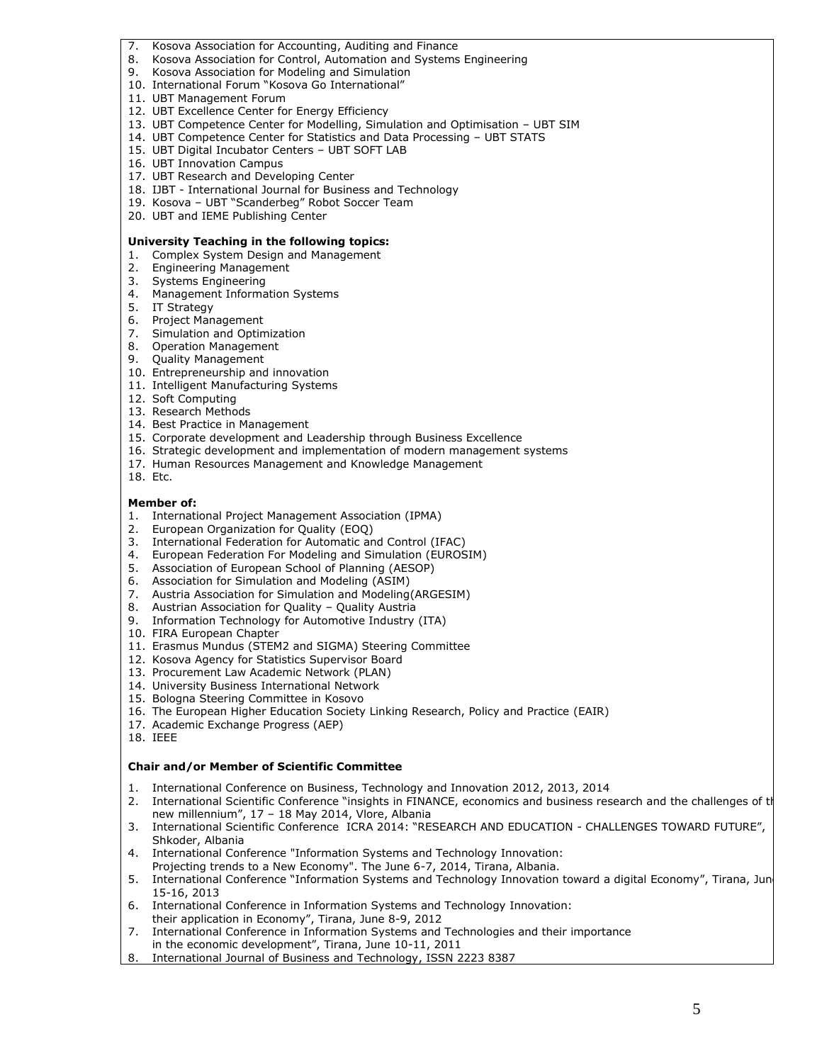- 7. Kosova Association for Accounting, Auditing and Finance
- 8. Kosova Association for Control, Automation and Systems Engineering
- 9. Kosova Association for Modeling and Simulation
- 10. International Forum "Kosova Go International"
- 11. UBT Management Forum
- 12. UBT Excellence Center for Energy Efficiency
- 13. UBT Competence Center for Modelling, Simulation and Optimisation UBT SIM
- 14. UBT Competence Center for Statistics and Data Processing UBT STATS
- 15. UBT Digital Incubator Centers UBT SOFT LAB
- 16. UBT Innovation Campus
- 17. UBT Research and Developing Center
- 18. IJBT International Journal for Business and Technology
- 19. Kosova UBT "Scanderbeg" Robot Soccer Team
- 20. UBT and IEME Publishing Center

#### **University Teaching in the following topics:**

- 1. Complex System Design and Management
- 2. Engineering Management
- 3. Systems Engineering
- 4. Management Information Systems
- 5. IT Strategy
- 6. Project Management
- 7. Simulation and Optimization
- 8. Operation Management
- 9. Quality Management
- 10. Entrepreneurship and innovation
- 11. Intelligent Manufacturing Systems
- 12. Soft Computing
- 13. Research Methods
- 14. Best Practice in Management
- 15. Corporate development and Leadership through Business Excellence
- 16. Strategic development and implementation of modern management systems
- 17. Human Resources Management and Knowledge Management
- 18. Etc.

#### **Member of:**

- 1. International Project Management Association (IPMA)
- 2. European Organization for Quality (EOQ)
- 3. International Federation for Automatic and Control (IFAC)
- 4. European Federation For Modeling and Simulation (EUROSIM)
- 5. Association of European School of Planning (AESOP)
- 6. Association for Simulation and Modeling (ASIM)
- 7. Austria Association for Simulation and Modeling(ARGESIM)
- 8. Austrian Association for Quality Quality Austria
- 9. Information Technology for Automotive Industry (ITA)
- 10. FIRA European Chapter
- 11. Erasmus Mundus (STEM2 and SIGMA) Steering Committee
- 12. Kosova Agency for Statistics Supervisor Board
- 13. Procurement Law Academic Network (PLAN)
- 14. University Business International Network
- 15. Bologna Steering Committee in Kosovo
- 16. The European Higher Education Society Linking Research, Policy and Practice (EAIR)
- 17. Academic Exchange Progress (AEP)
- 18. IEEE

#### **Chair and/or Member of Scientific Committee**

- 1. International Conference on Business, Technology and Innovation 2012, 2013, 2014
- 2. International Scientific Conference "insights in FINANCE, economics and business research and the challenges of the new millennium", 17 – 18 May 2014, Vlore, Albania
- 3. International Scientific Conference ICRA 2014: "RESEARCH AND EDUCATION CHALLENGES TOWARD FUTURE", Shkoder, Albania
- 4. International Conference "Information Systems and Technology Innovation:
- Projecting trends to a New Economy". The June 6-7, 2014, Tirana, Albania. 5. International Conference "Information Systems and Technology Innovation toward a digital Economy", Tirana, June 15-16, 2013
- 6. International Conference in Information Systems and Technology Innovation: their application in Economy", Tirana, June 8-9, 2012
- 7. International Conference in Information Systems and Technologies and their importance
- in the economic development", Tirana, June 10-11, 2011 8. International Journal of Business and Technology, ISSN 2223 8387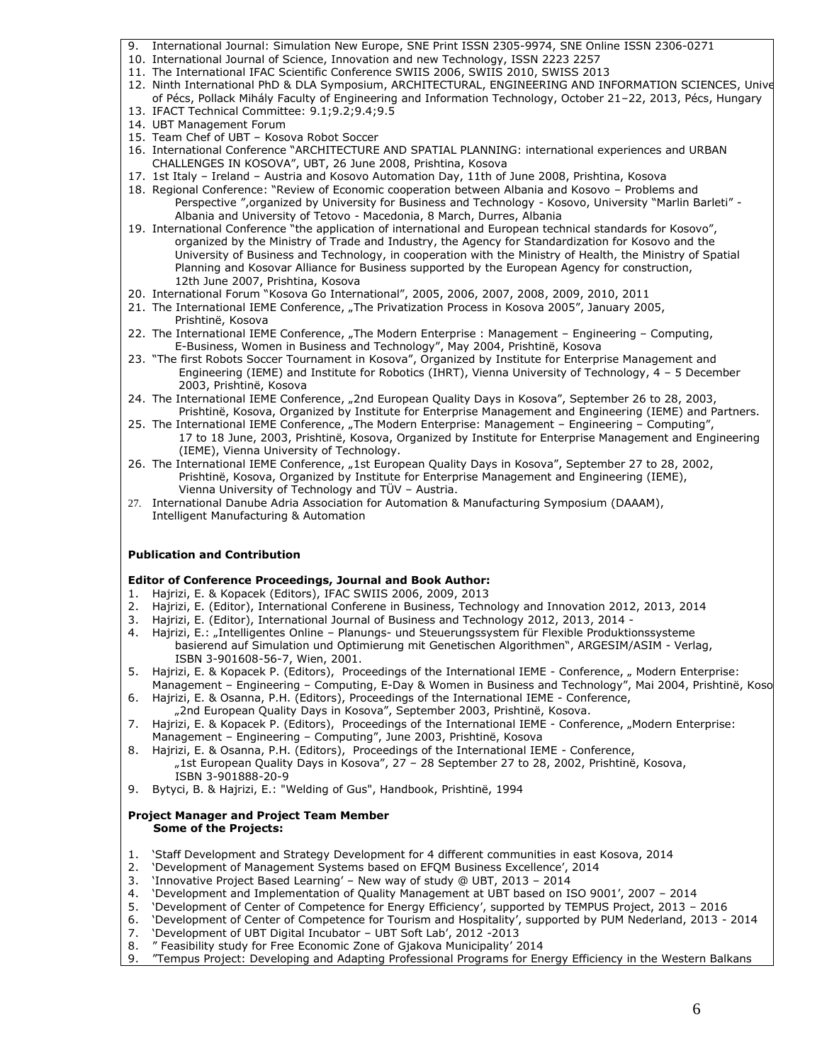- 9. International Journal: Simulation New Europe, SNE Print ISSN 2305-9974, SNE Online ISSN 2306-0271
- 10. International Journal of Science, Innovation and new Technology, ISSN 2223 2257
- 11. The International IFAC Scientific Conference SWIIS 2006, SWIIS 2010, SWISS 2013 12. Ninth International PhD & DLA Symposium, ARCHITECTURAL, ENGINEERING AND INFORMATION SCIENCES, Unive of Pécs, Pollack Mihály Faculty of Engineering and Information Technology, October 21–22, 2013, Pécs, Hungary
- 13. IFACT Technical Committee: 9.1;9.2;9.4;9.5
- 14. UBT Management Forum
- 15. Team Chef of UBT Kosova Robot Soccer
- 16. International Conference "ARCHITECTURE AND SPATIAL PLANNING: international experiences and URBAN CHALLENGES IN KOSOVA", UBT, 26 June 2008, Prishtina, Kosova
- 17. 1st Italy Ireland Austria and Kosovo Automation Day, 11th of June 2008, Prishtina, Kosova
- 18. Regional Conference: "Review of Economic cooperation between Albania and Kosovo Problems and Perspective ",organized by University for Business and Technology - Kosovo, University "Marlin Barleti" - Albania and University of Tetovo - Macedonia, 8 March, Durres, Albania
- 19. International Conference "the application of international and European technical standards for Kosovo", organized by the Ministry of Trade and Industry, the Agency for Standardization for Kosovo and the University of Business and Technology, in cooperation with the Ministry of Health, the Ministry of Spatial Planning and Kosovar Alliance for Business supported by the European Agency for construction, 12th June 2007, Prishtina, Kosova
- 20. International Forum "Kosova Go International", 2005, 2006, 2007, 2008, 2009, 2010, 2011
- 21. The International IEME Conference, "The Privatization Process in Kosova 2005", January 2005, Prishtinë, Kosova
- 22. The International IEME Conference, "The Modern Enterprise : Management Engineering Computing, E-Business, Women in Business and Technology", May 2004, Prishtinë, Kosova
- 23. "The first Robots Soccer Tournament in Kosova", Organized by Institute for Enterprise Management and Engineering (IEME) and Institute for Robotics (IHRT), Vienna University of Technology, 4 – 5 December 2003, Prishtinë, Kosova
- 24. The International IEME Conference, "2nd European Quality Days in Kosova", September 26 to 28, 2003, Prishtinë, Kosova, Organized by Institute for Enterprise Management and Engineering (IEME) and Partners.
- 25. The International IEME Conference, "The Modern Enterprise: Management Engineering Computing", 17 to 18 June, 2003, Prishtinë, Kosova, Organized by Institute for Enterprise Management and Engineering (IEME), Vienna University of Technology.
- 26. The International IEME Conference, "1st European Quality Days in Kosova", September 27 to 28, 2002, Prishtinë, Kosova, Organized by Institute for Enterprise Management and Engineering (IEME), Vienna University of Technology and TÜV – Austria.
- 27. International Danube Adria Association for Automation & Manufacturing Symposium (DAAAM), Intelligent Manufacturing & Automation

#### **Publication and Contribution**

#### **Editor of Conference Proceedings, Journal and Book Author:**

- 1. Hajrizi, E. & Kopacek (Editors), IFAC SWIIS 2006, 2009, 2013
- 2. Hajrizi, E. (Editor), International Conferene in Business, Technology and Innovation 2012, 2013, 2014
- 3. Hajrizi, E. (Editor), International Journal of Business and Technology 2012, 2013, 2014 -
- 4. Hajrizi, E.: "Intelligentes Online Planungs- und Steuerungssystem für Flexible Produktionssysteme basierend auf Simulation und Optimierung mit Genetischen Algorithmen", ARGESIM/ASIM - Verlag, ISBN 3-901608-56-7, Wien, 2001.
- 5. Hajrizi, E. & Kopacek P. (Editors), Proceedings of the International IEME Conference, " Modern Enterprise: Management – Engineering – Computing, E-Day & Women in Business and Technology", Mai 2004, Prishtinë, Koso
- 6. Hajrizi, E. & Osanna, P.H. (Editors), Proceedings of the International IEME Conference,
	- "2nd European Quality Days in Kosova", September 2003, Prishtinë, Kosova.
- 7. Hajrizi, E. & Kopacek P. (Editors), Proceedings of the International IEME Conference, "Modern Enterprise: Management – Engineering – Computing", June 2003, Prishtinë, Kosova
- 8. Hajrizi, E. & Osanna, P.H. (Editors), Proceedings of the International IEME Conference, "1st European Quality Days in Kosova", 27 – 28 September 27 to 28, 2002, Prishtinë, Kosova, ISBN 3-901888-20-9
- 9. Bytyci, B. & Hajrizi, E.: "Welding of Gus", Handbook, Prishtinë, 1994

#### **Project Manager and Project Team Member Some of the Projects:**

- 1. 'Staff Development and Strategy Development for 4 different communities in east Kosova, 2014
- 2. 'Development of Management Systems based on EFQM Business Excellence', 2014
- 3. 'Innovative Project Based Learning' New way of study @ UBT, 2013 2014
- 4. 'Development and Implementation of Quality Management at UBT based on ISO 9001', 2007 2014
- 5. 'Development of Center of Competence for Energy Efficiency', supported by TEMPUS Project, 2013 2016<br>6. 'Development of Center of Competence for Tourism and Hospitality', supported by PUM Nederland, 2013 -
- 6. 'Development of Center of Competence for Tourism and Hospitality', supported by PUM Nederland, 2013 2014
- 7. 'Development of UBT Digital Incubator UBT Soft Lab', 2012 -2013
- 8. " Feasibility study for Free Economic Zone of Gjakova Municipality' 2014
- 9. "Tempus Project: Developing and Adapting Professional Programs for Energy Efficiency in the Western Balkans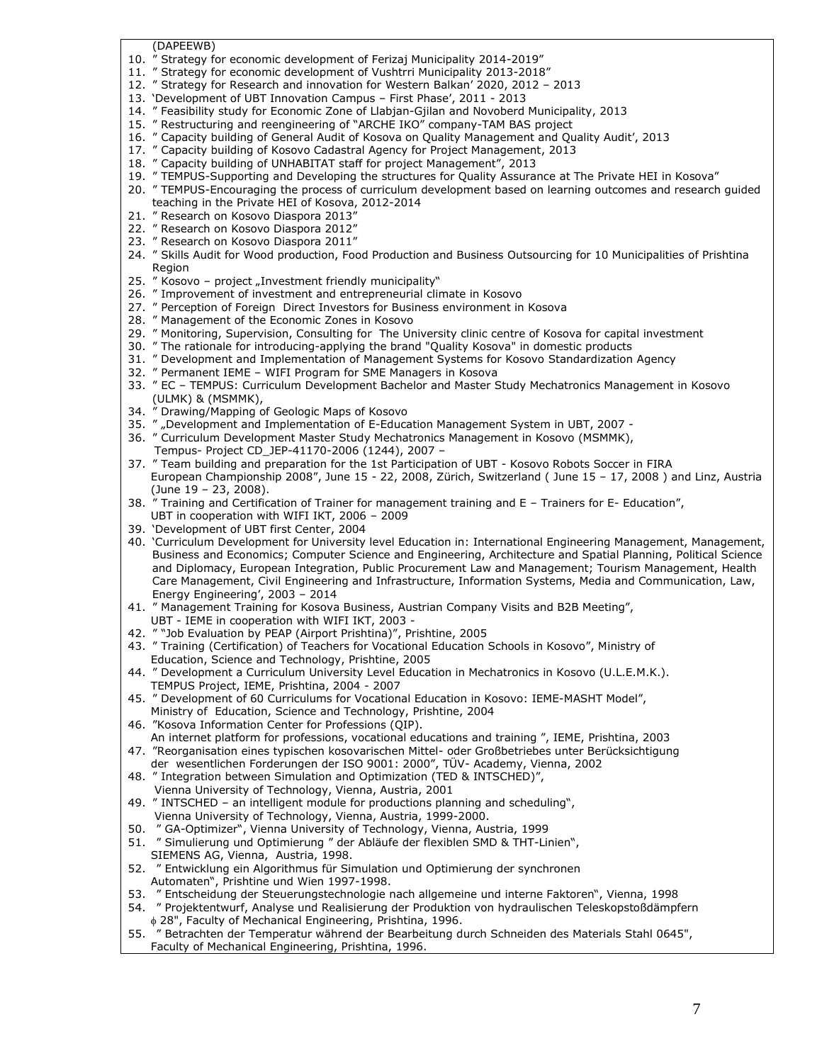(DAPEEWB)

- 10. " Strategy for economic development of Ferizaj Municipality 2014-2019"
- 11. " Strategy for economic development of Vushtrri Municipality 2013-2018"
- 12. " Strategy for Research and innovation for Western Balkan' 2020, 2012 2013
- 13. 'Development of UBT Innovation Campus First Phase', 2011 2013
- 14. " Feasibility study for Economic Zone of Llabjan-Gjilan and Novoberd Municipality, 2013
- 15. " Restructuring and reengineering of "ARCHE IKO" company-TAM BAS project
- 16. " Capacity building of General Audit of Kosova on Quality Management and Quality Audit', 2013
- 17. " Capacity building of Kosovo Cadastral Agency for Project Management, 2013
- 18. " Capacity building of UNHABITAT staff for project Management", 2013
- 19. " TEMPUS-Supporting and Developing the structures for Quality Assurance at The Private HEI in Kosova"
- 20. " TEMPUS-Encouraging the process of curriculum development based on learning outcomes and research guided teaching in the Private HEI of Kosova, 2012-2014
- 21. " Research on Kosovo Diaspora 2013"
- 22. " Research on Kosovo Diaspora 2012"
- 23. " Research on Kosovo Diaspora 2011"
- 24. " Skills Audit for Wood production, Food Production and Business Outsourcing for 10 Municipalities of Prishtina Region
- 25. " Kosovo project "Investment friendly municipality"
- 26. " Improvement of investment and entrepreneurial climate in Kosovo
- 27. " Perception of Foreign Direct Investors for Business environment in Kosova
- 28. " Management of the Economic Zones in Kosovo
- 29. " Monitoring, Supervision, Consulting for The University clinic centre of Kosova for capital investment
- 30. " The rationale for introducing-applying the brand "Quality Kosova" in domestic products
- 31. " Development and Implementation of Management Systems for Kosovo Standardization Agency
- 32. " Permanent IEME WIFI Program for SME Managers in Kosova
- 33. " EC TEMPUS: Curriculum Development Bachelor and Master Study Mechatronics Management in Kosovo (ULMK) & (MSMMK),
- 34. " Drawing/Mapping of Geologic Maps of Kosovo
- 35. " "Development and Implementation of E-Education Management System in UBT, 2007 -
- 36. " Curriculum Development Master Study Mechatronics Management in Kosovo (MSMMK),
- Tempus- Project CD\_JEP-41170-2006 (1244), 2007 –
- 37. " Team building and preparation for the 1st Participation of UBT Kosovo Robots Soccer in FIRA European Championship 2008", June 15 - 22, 2008, Zürich, Switzerland ( June 15 – 17, 2008 ) and Linz, Austria (June 19 – 23, 2008).
- 38. " Training and Certification of Trainer for management training and E Trainers for E- Education", UBT in cooperation with WIFI IKT, 2006 – 2009
- 39. 'Development of UBT first Center, 2004
- 40. 'Curriculum Development for University level Education in: International Engineering Management, Management, Business and Economics; Computer Science and Engineering, Architecture and Spatial Planning, Political Science and Diplomacy, European Integration, Public Procurement Law and Management; Tourism Management, Health Care Management, Civil Engineering and Infrastructure, Information Systems, Media and Communication, Law, Energy Engineering', 2003 – 2014
- 41. " Management Training for Kosova Business, Austrian Company Visits and B2B Meeting", UBT - IEME in cooperation with WIFI IKT, 2003 -
- 42. " "Job Evaluation by PEAP (Airport Prishtina)", Prishtine, 2005
- 43. " Training (Certification) of Teachers for Vocational Education Schools in Kosovo", Ministry of Education, Science and Technology, Prishtine, 2005
- 44. " Development a Curriculum University Level Education in Mechatronics in Kosovo (U.L.E.M.K.). TEMPUS Project, IEME, Prishtina, 2004 - 2007
- 45. " Development of 60 Curriculums for Vocational Education in Kosovo: IEME-MASHT Model", Ministry of Education, Science and Technology, Prishtine, 2004
- 46. "Kosova Information Center for Professions (QIP).
- An internet platform for professions, vocational educations and training ", IEME, Prishtina, 2003 47. "Reorganisation eines typischen kosovarischen Mittel- oder Großbetriebes unter Berücksichtigung
- der wesentlichen Forderungen der ISO 9001: 2000", TÜV- Academy, Vienna, 2002 48. " Integration between Simulation and Optimization (TED & INTSCHED)",
- Vienna University of Technology, Vienna, Austria, 2001
- 49. " INTSCHED an intelligent module for productions planning and scheduling", Vienna University of Technology, Vienna, Austria, 1999-2000.
- 50. " GA-Optimizer", Vienna University of Technology, Vienna, Austria, 1999
- 51. " Simulierung und Optimierung " der Abläufe der flexiblen SMD & THT-Linien", SIEMENS AG, Vienna, Austria, 1998.
- 52. " Entwicklung ein Algorithmus für Simulation und Optimierung der synchronen Automaten", Prishtine und Wien 1997-1998.
- 53. " Entscheidung der Steuerungstechnologie nach allgemeine und interne Faktoren", Vienna, 1998
- 54. " Projektentwurf, Analyse und Realisierung der Produktion von hydraulischen Teleskopstoßdämpfern 28", Faculty of Mechanical Engineering, Prishtina, 1996.
- 55. " Betrachten der Temperatur während der Bearbeitung durch Schneiden des Materials Stahl 0645", Faculty of Mechanical Engineering, Prishtina, 1996.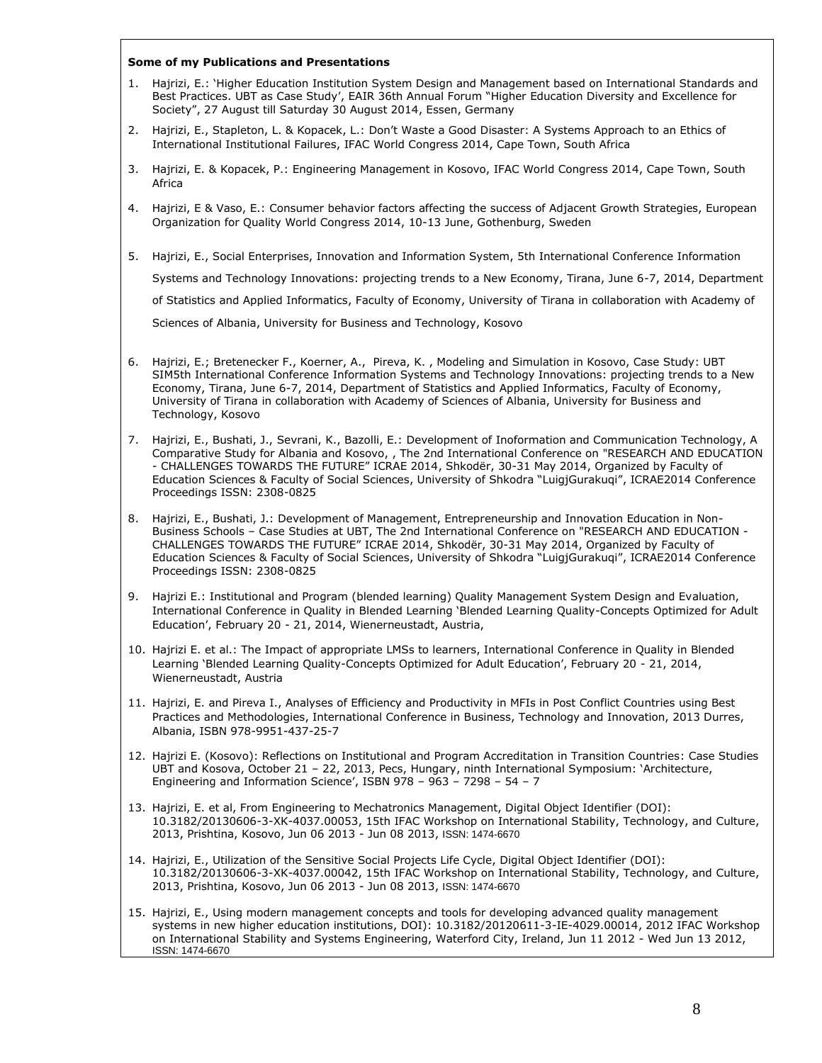#### **Some of my Publications and Presentations**

- 1. Hajrizi, E.: 'Higher Education Institution System Design and Management based on International Standards and Best Practices. UBT as Case Study', EAIR 36th Annual Forum "Higher Education Diversity and Excellence for Society", 27 August till Saturday 30 August 2014, Essen, Germany
- 2. Hajrizi, E., Stapleton, L. & Kopacek, L.: Don't Waste a Good Disaster: A Systems Approach to an Ethics of International Institutional Failures, IFAC World Congress 2014, Cape Town, South Africa
- 3. Hajrizi, E. & Kopacek, P.: Engineering Management in Kosovo, IFAC World Congress 2014, Cape Town, South Africa
- 4. Hajrizi, E & Vaso, E.: Consumer behavior factors affecting the success of Adjacent Growth Strategies, European Organization for Quality World Congress 2014, 10-13 June, Gothenburg, Sweden
- 5. Hajrizi, E., Social Enterprises, Innovation and Information System, 5th International Conference Information Systems and Technology Innovations: projecting trends to a New Economy, Tirana, June 6-7, 2014, Department of Statistics and Applied Informatics, Faculty of Economy, University of Tirana in collaboration with Academy of Sciences of Albania, University for Business and Technology, Kosovo
- 6. Hajrizi, E.; Bretenecker F., Koerner, A., Pireva, K. , Modeling and Simulation in Kosovo, Case Study: UBT SIM5th International Conference Information Systems and Technology Innovations: projecting trends to a New Economy, Tirana, June 6-7, 2014, Department of Statistics and Applied Informatics, Faculty of Economy, University of Tirana in collaboration with Academy of Sciences of Albania, University for Business and Technology, Kosovo
- 7. Hajrizi, E., Bushati, J., Sevrani, K., Bazolli, E.: Development of Inoformation and Communication Technology, A Comparative Study for Albania and Kosovo, , The 2nd International Conference on "RESEARCH AND EDUCATION - CHALLENGES TOWARDS THE FUTURE" ICRAE 2014, Shkodër, 30-31 May 2014, Organized by Faculty of Education Sciences & Faculty of Social Sciences, University of Shkodra "LuigjGurakuqi", ICRAE2014 Conference Proceedings ISSN: 2308-0825
- 8. Hajrizi, E., Bushati, J.: Development of Management, Entrepreneurship and Innovation Education in Non-Business Schools – Case Studies at UBT, The 2nd International Conference on "RESEARCH AND EDUCATION - CHALLENGES TOWARDS THE FUTURE" ICRAE 2014, Shkodër, 30-31 May 2014, Organized by Faculty of Education Sciences & Faculty of Social Sciences, University of Shkodra "LuigjGurakuqi", ICRAE2014 Conference Proceedings ISSN: 2308-0825
- 9. Hajrizi E.: Institutional and Program (blended learning) Quality Management System Design and Evaluation, International Conference in Quality in Blended Learning 'Blended Learning Quality-Concepts Optimized for Adult Education', February 20 - 21, 2014, Wienerneustadt, Austria,
- 10. Hajrizi E. et al.: The Impact of appropriate LMSs to learners, International Conference in Quality in Blended Learning 'Blended Learning Quality-Concepts Optimized for Adult Education', February 20 - 21, 2014, Wienerneustadt, Austria
- 11. Hajrizi, E. and Pireva I., Analyses of Efficiency and Productivity in MFIs in Post Conflict Countries using Best Practices and Methodologies, International Conference in Business, Technology and Innovation, 2013 Durres, Albania, ISBN 978-9951-437-25-7
- 12. Hajrizi E. (Kosovo): Reflections on Institutional and Program Accreditation in Transition Countries: Case Studies UBT and Kosova, October 21 – 22, 2013, Pecs, Hungary, ninth International Symposium: 'Architecture, Engineering and Information Science', ISBN 978 – 963 – 7298 – 54 – 7
- 13. Hajrizi, E. et al, From Engineering to Mechatronics Management, Digital Object Identifier (DOI): 10.3182/20130606-3-XK-4037.00053, 15th IFAC Workshop on International Stability, Technology, and Culture, 2013, Prishtina, Kosovo, Jun 06 2013 - Jun 08 2013, ISSN: 1474-6670
- 14. Hajrizi, E., [Utilization of the Sensitive Social Projects Life Cycle,](http://www.ifac-papersonline.net/Detailed/62293.html) Digital Object Identifier (DOI): 10.3182/20130606-3-XK-4037.00042, 15th IFAC Workshop on International Stability, Technology, and Culture, 2013, Prishtina, Kosovo, Jun 06 2013 - Jun 08 2013, ISSN: 1474-6670
- 15. Hajrizi, E., [Using modern management concepts and tools for developing advanced quality management](http://www.ifac-papersonline.net/Detailed/57773.html)  [systems in new higher education institutions,](http://www.ifac-papersonline.net/Detailed/57773.html) DOI): 10.3182/20120611-3-IE-4029.00014, 2012 IFAC Workshop on International Stability and Systems Engineering, Waterford City, Ireland, Jun 11 2012 - Wed Jun 13 2012, ISSN: 1474-6670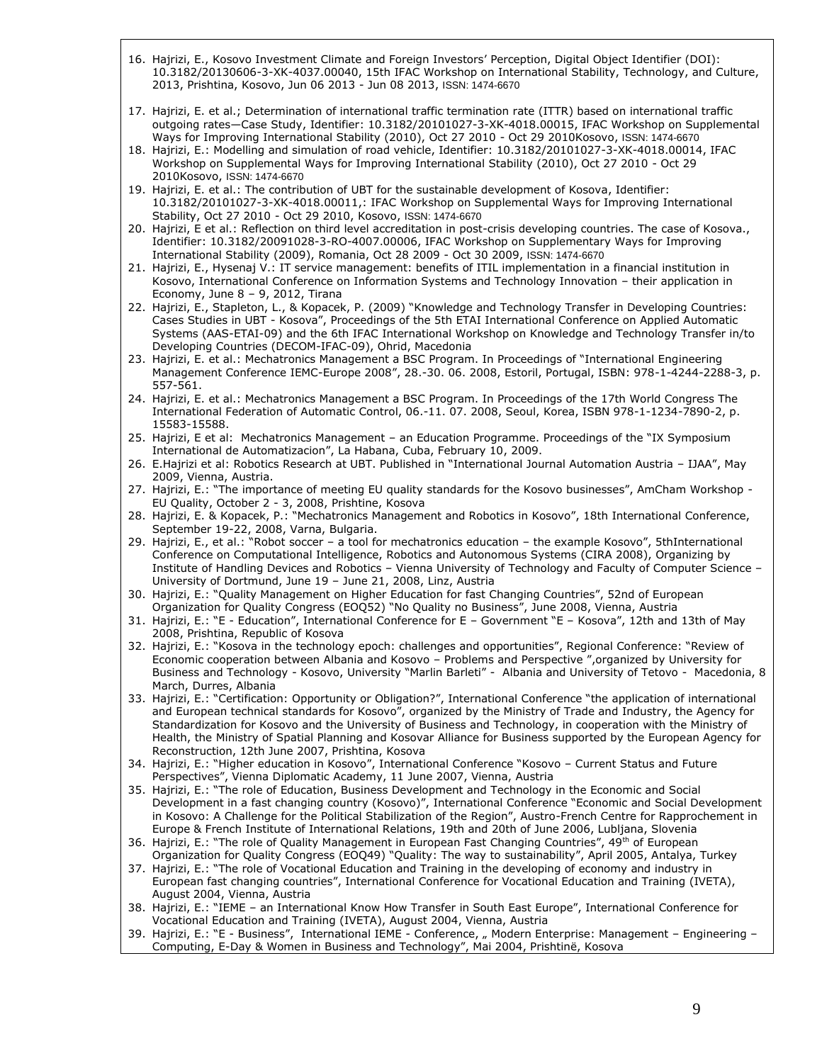- 16. Hajrizi, E., [Kosovo Investment Climate and Foreign Investors](http://www.ifac-papersonline.net/Detailed/62289.html)' Perception, Digital Object Identifier (DOI): 10.3182/20130606-3-XK-4037.00040, 15th IFAC Workshop on International Stability, Technology, and Culture, 2013, Prishtina, Kosovo, Jun 06 2013 - Jun 08 2013, ISSN: 1474-6670
- 17. Hajrizi, E. et al.; [Determination of international traffic termination rate \(ITTR\) based on international traffic](http://www.ifac-papersonline.net/Detailed/46853.html)  [outgoing rates](http://www.ifac-papersonline.net/Detailed/46853.html)—Case Study, Identifier: 10.3182/20101027-3-XK-4018.00015, IFAC Workshop on Supplemental Ways for Improving International Stability (2010), Oct 27 2010 - Oct 29 2010Kosovo, ISSN: 1474-6670
- 18. Hajrizi, E.: [Modelling and simulation of road vehicle,](http://www.ifac-papersonline.net/Detailed/46851.html) Identifier: 10.3182/20101027-3-XK-4018.00014, IFAC Workshop on Supplemental Ways for Improving International Stability (2010), Oct 27 2010 - Oct 29 2010Kosovo, ISSN: 1474-6670
- 19. Hajrizi, E. et al.: [The contribution of UBT for the sustainable development of Kosova,](http://www.ifac-papersonline.net/Detailed/46845.html) Identifier: 10.3182/20101027-3-XK-4018.00011,: IFAC Workshop on Supplemental Ways for Improving International Stability, Oct 27 2010 - Oct 29 2010, Kosovo, ISSN: 1474-6670
- 20. Hajrizi, E et al.: Reflection on third level accreditation in post-crisis developing countries. The case of Kosova., Identifier: 10.3182/20091028-3-RO-4007.00006, IFAC Workshop on Supplementary Ways for Improving International Stability (2009), Romania, Oct 28 2009 - Oct 30 2009, ISSN: 1474-6670
- 21. Hajrizi, E., Hysenaj V.: IT service management: benefits of ITIL implementation in a financial institution in Kosovo, International Conference on Information Systems and Technology Innovation – their application in Economy, June 8 – 9, 2012, Tirana
- 22. Hajrizi, E., Stapleton, L., & Kopacek, P. (2009) "Knowledge and Technology Transfer in Developing Countries: Cases Studies in UBT - Kosova", Proceedings of the 5th ETAI International Conference on Applied Automatic Systems (AAS-ETAI-09) and the 6th IFAC International Workshop on Knowledge and Technology Transfer in/to Developing Countries (DECOM-IFAC-09), Ohrid, Macedonia
- 23. Hajrizi, E. et al.: Mechatronics Management a BSC Program. In Proceedings of "International Engineering Management Conference IEMC-Europe 2008", 28.-30. 06. 2008, Estoril, Portugal, ISBN: 978-1-4244-2288-3, p. 557-561.
- 24. Hajrizi, E. et al.: Mechatronics Management a BSC Program. In Proceedings of the 17th World Congress The International Federation of Automatic Control, 06.-11. 07. 2008, Seoul, Korea, ISBN 978-1-1234-7890-2, p. 15583-15588.
- 25. Hajrizi, E et al: Mechatronics Management an Education Programme. Proceedings of the "IX Symposium International de Automatizacion", La Habana, Cuba, February 10, 2009.
- 26. E.Hajrizi et al: Robotics Research at UBT. Published in "International Journal Automation Austria IJAA", May 2009, Vienna, Austria.
- 27. Hajrizi, E.: "The importance of meeting EU quality standards for the Kosovo businesses", AmCham Workshop EU Quality, October 2 - 3, 2008, Prishtine, Kosova
- 28. Hajrizi, E. & Kopacek, P.: "Mechatronics Management and Robotics in Kosovo", 18th International Conference, September 19-22, 2008, Varna, Bulgaria.
- 29. Hajrizi, E., et al.: "Robot soccer a tool for mechatronics education the example Kosovo", 5thInternational Conference on Computational Intelligence, Robotics and Autonomous Systems (CIRA 2008), Organizing by Institute of Handling Devices and Robotics – Vienna University of Technology and Faculty of Computer Science – University of Dortmund, June 19 – June 21, 2008, Linz, Austria
- 30. Hajrizi, E.: "Quality Management on Higher Education for fast Changing Countries", 52nd of European Organization for Quality Congress (EOQ52) "No Quality no Business", June 2008, Vienna, Austria
- 31. Hajrizi, E.: "E Education", International Conference for E Government "E Kosova", 12th and 13th of May 2008, Prishtina, Republic of Kosova
- 32. Hajrizi, E.: "Kosova in the technology epoch: challenges and opportunities", Regional Conference: "Review of Economic cooperation between Albania and Kosovo – Problems and Perspective ",organized by University for Business and Technology - Kosovo, University "Marlin Barleti" - Albania and University of Tetovo - Macedonia, 8 March, Durres, Albania
- 33. Hajrizi, E.: "Certification: Opportunity or Obligation?", International Conference "the application of international and European technical standards for Kosovo", organized by the Ministry of Trade and Industry, the Agency for Standardization for Kosovo and the University of Business and Technology, in cooperation with the Ministry of Health, the Ministry of Spatial Planning and Kosovar Alliance for Business supported by the European Agency for Reconstruction, 12th June 2007, Prishtina, Kosova
- 34. Hajrizi, E.: "Higher education in Kosovo", International Conference "Kosovo Current Status and Future Perspectives", Vienna Diplomatic Academy, 11 June 2007, Vienna, Austria
- 35. Hajrizi, E.: "The role of Education, Business Development and Technology in the Economic and Social Development in a fast changing country (Kosovo)", International Conference "Economic and Social Development in Kosovo: A Challenge for the Political Stabilization of the Region", Austro-French Centre for Rapprochement in Europe & French Institute of International Relations, 19th and 20th of June 2006, Lubljana, Slovenia
- 36. Hajrizi, E.: "The role of Quality Management in European Fast Changing Countries", 49th of European Organization for Quality Congress (EOQ49) "Quality: The way to sustainability", April 2005, Antalya, Turkey
- 37. Hajrizi, E.: "The role of Vocational Education and Training in the developing of economy and industry in European fast changing countries", International Conference for Vocational Education and Training (IVETA), August 2004, Vienna, Austria
- 38. Hajrizi, E.: "IEME an International Know How Transfer in South East Europe", International Conference for Vocational Education and Training (IVETA), August 2004, Vienna, Austria
- 39. Hajrizi, E.: "E Business", International IEME Conference, " Modern Enterprise: Management Engineering Computing, E-Day & Women in Business and Technology", Mai 2004, Prishtinë, Kosova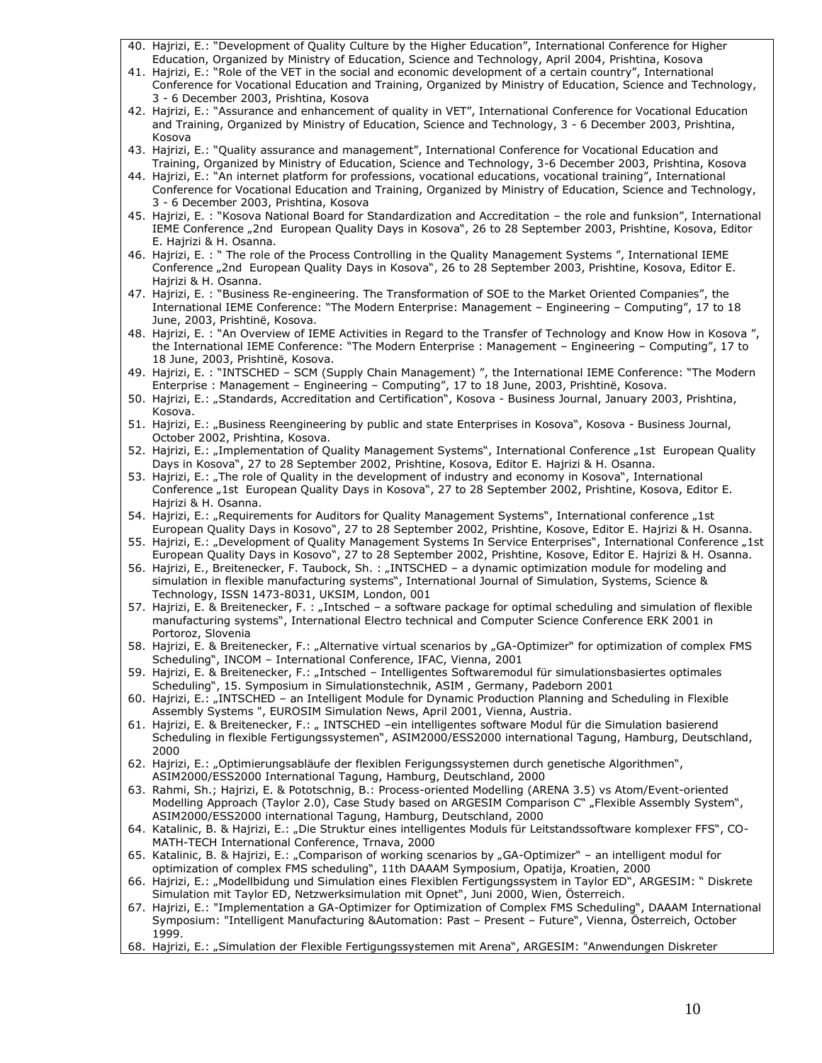- 40. Hajrizi, E.: "Development of Quality Culture by the Higher Education", International Conference for Higher Education, Organized by Ministry of Education, Science and Technology, April 2004, Prishtina, Kosova
- 41. Hajrizi, E.: "Role of the VET in the social and economic development of a certain country", International Conference for Vocational Education and Training, Organized by Ministry of Education, Science and Technology, 3 - 6 December 2003, Prishtina, Kosova
- 42. Hajrizi, E.: "Assurance and enhancement of quality in VET", International Conference for Vocational Education and Training, Organized by Ministry of Education, Science and Technology, 3 - 6 December 2003, Prishtina, Kosova
- 43. Hajrizi, E.: "Quality assurance and management", International Conference for Vocational Education and Training, Organized by Ministry of Education, Science and Technology, 3-6 December 2003, Prishtina, Kosova
- 44. Hajrizi, E.: "An internet platform for professions, vocational educations, vocational training", International Conference for Vocational Education and Training, Organized by Ministry of Education, Science and Technology, 3 - 6 December 2003, Prishtina, Kosova
- 45. Hajrizi, E. : "Kosova National Board for Standardization and Accreditation the role and funksion", International IEME Conference "2nd European Quality Days in Kosova", 26 to 28 September 2003, Prishtine, Kosova, Editor E. Hajrizi & H. Osanna.
- 46. Hajrizi, E. : " The role of the Process Controlling in the Quality Management Systems ", International IEME Conference "2nd European Quality Days in Kosova", 26 to 28 September 2003, Prishtine, Kosova, Editor E. Hajrizi & H. Osanna.
- 47. Hajrizi, E. : "Business Re-engineering. The Transformation of SOE to the Market Oriented Companies", the International IEME Conference: "The Modern Enterprise: Management – Engineering – Computing", 17 to 18 June, 2003, Prishtinë, Kosova.
- 48. Hajrizi, E. : "An Overview of IEME Activities in Regard to the Transfer of Technology and Know How in Kosova ", the International IEME Conference: "The Modern Enterprise : Management – Engineering – Computing", 17 to 18 June, 2003, Prishtinë, Kosova.
- 49. Hajrizi, E. : "INTSCHED SCM (Supply Chain Management) ", the International IEME Conference: "The Modern Enterprise : Management – Engineering – Computing", 17 to 18 June, 2003, Prishtinë, Kosova.
- 50. Hajrizi, E.: "Standards, Accreditation and Certification", Kosova Business Journal, January 2003, Prishtina, Kosova.
- 51. Hajrizi, E.: "Business Reengineering by public and state Enterprises in Kosova", Kosova Business Journal, October 2002, Prishtina, Kosova.
- 52. Hajrizi, E.: "Implementation of Quality Management Systems", International Conference "1st European Quality Days in Kosova", 27 to 28 September 2002, Prishtine, Kosova, Editor E. Hajrizi & H. Osanna.
- 53. Hajrizi, E.: "The role of Quality in the development of industry and economy in Kosova", International Conference "1st European Quality Days in Kosova", 27 to 28 September 2002, Prishtine, Kosova, Editor E. Hajrizi & H. Osanna.
- 54. Hajrizi, E.: "Requirements for Auditors for Quality Management Systems", International conference "1st European Quality Days in Kosovo", 27 to 28 September 2002, Prishtine, Kosove, Editor E. Hajrizi & H. Osanna.
- 55. Hajrizi, E.: "Development of Quality Management Systems In Service Enterprises", International Conference "1st European Quality Days in Kosovo", 27 to 28 September 2002, Prishtine, Kosove, Editor E. Hajrizi & H. Osanna.
- 56. Hajrizi, E., Breitenecker, F. Taubock, Sh. : "INTSCHED a dynamic optimization module for modeling and simulation in flexible manufacturing systems", International Journal of Simulation, Systems, Science & Technology, ISSN 1473-8031, UKSIM, London, 001
- 57. Hajrizi, E. & Breitenecker, F. : "Intsched a software package for optimal scheduling and simulation of flexible manufacturing systems", International Electro technical and Computer Science Conference ERK 2001 in Portoroz, Slovenia
- 58. Hajrizi, E. & Breitenecker, F.: "Alternative virtual scenarios by "GA-Optimizer" for optimization of complex FMS Scheduling", INCOM – International Conference, IFAC, Vienna, 2001
- 59. Hajrizi, E. & Breitenecker, F.: "Intsched Intelligentes Softwaremodul für simulationsbasiertes optimales Scheduling", 15. Symposium in Simulationstechnik, ASIM , Germany, Padeborn 2001
- 60. Hajrizi, E.: "INTSCHED an Intelligent Module for Dynamic Production Planning and Scheduling in Flexible Assembly Systems ", EUROSIM Simulation News, April 2001, Vienna, Austria.
- 61. Hajrizi, E. & Breitenecker, F.: " INTSCHED –ein intelligentes software Modul für die Simulation basierend Scheduling in flexible Fertigungssystemen", ASIM2000/ESS2000 international Tagung, Hamburg, Deutschland, 2000
- 62. Hajrizi, E.: "Optimierungsabläufe der flexiblen Ferigungssystemen durch genetische Algorithmen", ASIM2000/ESS2000 International Tagung, Hamburg, Deutschland, 2000
- 63. Rahmi, Sh.; Hajrizi, E. & Pototschnig, B.: Process-oriented Modelling (ARENA 3.5) vs Atom/Event-oriented Modelling Approach (Taylor 2.0), Case Study based on ARGESIM Comparison C" "Flexible Assembly System", ASIM2000/ESS2000 international Tagung, Hamburg, Deutschland, 2000
- 64. Katalinic, B. & Hajrizi, E.: "Die Struktur eines intelligentes Moduls für Leitstandssoftware komplexer FFS", CO-MATH-TECH International Conference, Trnava, 2000
- 65. Katalinic, B. & Hajrizi, E.: "Comparison of working scenarios by "GA-Optimizer" an intelligent modul for optimization of complex FMS scheduling", 11th DAAAM Symposium, Opatija, Kroatien, 2000
- 66. Hajrizi, E.: "Modellbidung und Simulation eines Flexiblen Fertigungssystem in Taylor ED", ARGESIM: " Diskrete Simulation mit Taylor ED, Netzwerksimulation mit Opnet", Juni 2000, Wien, Österreich.
- 67. Hajrizi, E.: "Implementation a GA-Optimizer for Optimization of Complex FMS Scheduling", DAAAM International Symposium: "Intelligent Manufacturing &Automation: Past – Present – Future", Vienna, Österreich, October 1999.
- 68. Hajrizi, E.: "Simulation der Flexible Fertigungssystemen mit Arena", ARGESIM: "Anwendungen Diskreter